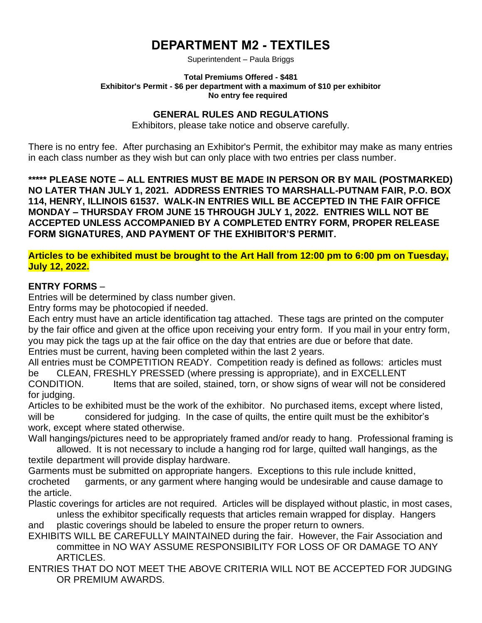# **DEPARTMENT M2 - TEXTILES**

Superintendent – Paula Briggs

#### **Total Premiums Offered - \$481 Exhibitor's Permit - \$6 per department with a maximum of \$10 per exhibitor No entry fee required**

### **GENERAL RULES AND REGULATIONS**

Exhibitors, please take notice and observe carefully.

There is no entry fee. After purchasing an Exhibitor's Permit, the exhibitor may make as many entries in each class number as they wish but can only place with two entries per class number.

**\*\*\*\*\* PLEASE NOTE – ALL ENTRIES MUST BE MADE IN PERSON OR BY MAIL (POSTMARKED) NO LATER THAN JULY 1, 2021. ADDRESS ENTRIES TO MARSHALL-PUTNAM FAIR, P.O. BOX 114, HENRY, ILLINOIS 61537. WALK-IN ENTRIES WILL BE ACCEPTED IN THE FAIR OFFICE MONDAY – THURSDAY FROM JUNE 15 THROUGH JULY 1, 2022. ENTRIES WILL NOT BE ACCEPTED UNLESS ACCOMPANIED BY A COMPLETED ENTRY FORM, PROPER RELEASE FORM SIGNATURES, AND PAYMENT OF THE EXHIBITOR'S PERMIT.**

#### **Articles to be exhibited must be brought to the Art Hall from 12:00 pm to 6:00 pm on Tuesday, July 12, 2022.**

#### **ENTRY FORMS** –

Entries will be determined by class number given.

Entry forms may be photocopied if needed.

Each entry must have an article identification tag attached. These tags are printed on the computer by the fair office and given at the office upon receiving your entry form. If you mail in your entry form, you may pick the tags up at the fair office on the day that entries are due or before that date. Entries must be current, having been completed within the last 2 years.

All entries must be COMPETITION READY. Competition ready is defined as follows: articles must be CLEAN, FRESHLY PRESSED (where pressing is appropriate), and in EXCELLENT CONDITION. Items that are soiled, stained, torn, or show signs of wear will not be considered for judging.

Articles to be exhibited must be the work of the exhibitor. No purchased items, except where listed, will be considered for judging. In the case of quilts, the entire quilt must be the exhibitor's work, except where stated otherwise.

Wall hangings/pictures need to be appropriately framed and/or ready to hang. Professional framing is allowed. It is not necessary to include a hanging rod for large, quilted wall hangings, as the textile department will provide display hardware.

Garments must be submitted on appropriate hangers. Exceptions to this rule include knitted, crocheted garments, or any garment where hanging would be undesirable and cause damage to the article.

Plastic coverings for articles are not required. Articles will be displayed without plastic, in most cases, unless the exhibitor specifically requests that articles remain wrapped for display. Hangers

and plastic coverings should be labeled to ensure the proper return to owners.

EXHIBITS WILL BE CAREFULLY MAINTAINED during the fair. However, the Fair Association and committee in NO WAY ASSUME RESPONSIBILITY FOR LOSS OF OR DAMAGE TO ANY ARTICLES.

ENTRIES THAT DO NOT MEET THE ABOVE CRITERIA WILL NOT BE ACCEPTED FOR JUDGING OR PREMIUM AWARDS.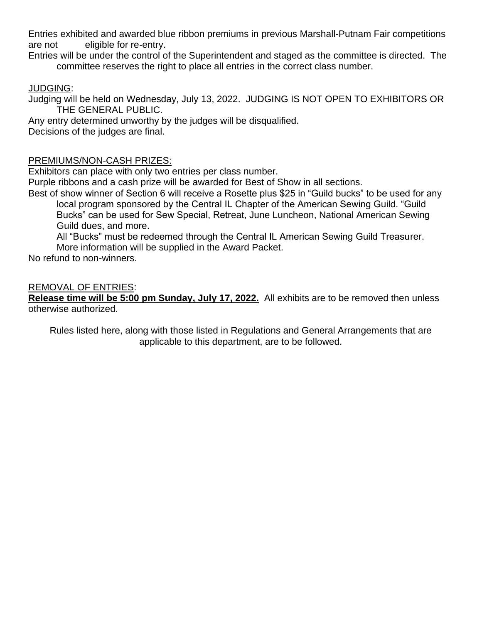Entries exhibited and awarded blue ribbon premiums in previous Marshall-Putnam Fair competitions are not eligible for re-entry.

Entries will be under the control of the Superintendent and staged as the committee is directed. The committee reserves the right to place all entries in the correct class number.

### JUDGING:

Judging will be held on Wednesday, July 13, 2022. JUDGING IS NOT OPEN TO EXHIBITORS OR THE GENERAL PUBLIC.

Any entry determined unworthy by the judges will be disqualified.

Decisions of the judges are final.

### PREMIUMS/NON-CASH PRIZES:

Exhibitors can place with only two entries per class number.

Purple ribbons and a cash prize will be awarded for Best of Show in all sections.

Best of show winner of Section 6 will receive a Rosette plus \$25 in "Guild bucks" to be used for any local program sponsored by the Central IL Chapter of the American Sewing Guild. "Guild

Bucks" can be used for Sew Special, Retreat, June Luncheon, National American Sewing Guild dues, and more.

All "Bucks" must be redeemed through the Central IL American Sewing Guild Treasurer. More information will be supplied in the Award Packet.

No refund to non-winners.

### REMOVAL OF ENTRIES:

**Release time will be 5:00 pm Sunday, July 17, 2022.** All exhibits are to be removed then unless otherwise authorized.

Rules listed here, along with those listed in Regulations and General Arrangements that are applicable to this department, are to be followed.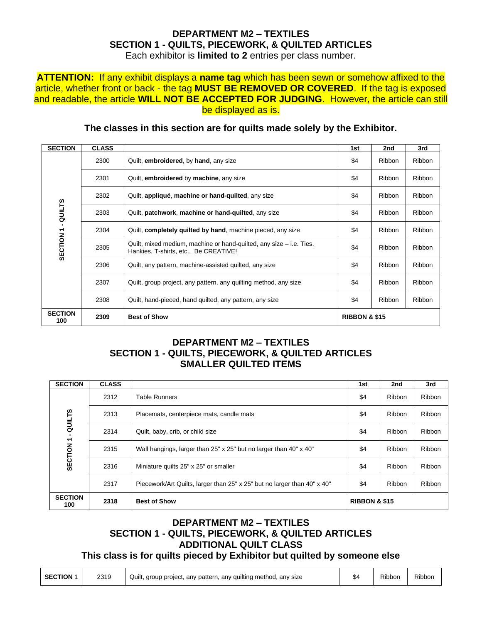#### **DEPARTMENT M2 – TEXTILES SECTION 1 - QUILTS, PIECEWORK, & QUILTED ARTICLES** Each exhibitor is **limited to 2** entries per class number.

#### **ATTENTION:** If any exhibit displays a **name tag** which has been sewn or somehow affixed to the article, whether front or back - the tag **MUST BE REMOVED OR COVERED**. If the tag is exposed and readable, the article **WILL NOT BE ACCEPTED FOR JUDGING**. However, the article can still be displayed as is.

| <b>SECTION</b>        | <b>CLASS</b> |                                                                                                              | 1st | 2nd                      | 3rd           |  |
|-----------------------|--------------|--------------------------------------------------------------------------------------------------------------|-----|--------------------------|---------------|--|
|                       | 2300         | Quilt, embroidered, by hand, any size                                                                        | \$4 | <b>Ribbon</b>            | Ribbon        |  |
|                       | 2301         | Quilt, <b>embroidered</b> by <b>machine</b> , any size                                                       | \$4 | Ribbon                   | Ribbon        |  |
|                       | 2302         | Quilt, appliqué, machine or hand-quilted, any size                                                           | \$4 | Ribbon                   | Ribbon        |  |
| - QUILTS              | 2303         | Quilt, patchwork, machine or hand-quilted, any size                                                          | \$4 | <b>Ribbon</b>            | Ribbon        |  |
|                       | 2304         | Quilt, completely quilted by hand, machine pieced, any size                                                  | \$4 | Ribbon                   | Ribbon        |  |
| SECTION <sub>1</sub>  | 2305         | Quilt, mixed medium, machine or hand-quilted, any size – i.e. Ties,<br>Hankies, T-shirts, etc., Be CREATIVE! | \$4 | <b>Ribbon</b>            | <b>Ribbon</b> |  |
|                       | 2306         | Quilt, any pattern, machine-assisted quilted, any size                                                       | \$4 | Ribbon                   | Ribbon        |  |
|                       | 2307         | Quilt, group project, any pattern, any quilting method, any size                                             | \$4 | Ribbon                   | Ribbon        |  |
|                       | 2308         | Quilt, hand-pieced, hand quilted, any pattern, any size                                                      | \$4 | <b>Ribbon</b>            | Ribbon        |  |
| <b>SECTION</b><br>100 | 2309         | <b>Best of Show</b>                                                                                          |     | <b>RIBBON &amp; \$15</b> |               |  |

### **The classes in this section are for quilts made solely by the Exhibitor.**

### **DEPARTMENT M2 – TEXTILES SECTION 1 - QUILTS, PIECEWORK, & QUILTED ARTICLES SMALLER QUILTED ITEMS**

| <b>SECTION</b>        | <b>CLASS</b> |                                                                          | 1st | 2nd                      | 3rd    |  |
|-----------------------|--------------|--------------------------------------------------------------------------|-----|--------------------------|--------|--|
|                       | 2312         | Table Runners                                                            | \$4 | Ribbon                   | Ribbon |  |
| QUILTS                | 2313         | Placemats, centerpiece mats, candle mats                                 | \$4 | Ribbon                   | Ribbon |  |
|                       | 2314         | Quilt, baby, crib, or child size                                         | \$4 | Ribbon                   | Ribbon |  |
| SECTION <sub>1</sub>  | 2315         | Wall hangings, larger than 25" x 25" but no larger than 40" x 40"        | \$4 | Ribbon                   | Ribbon |  |
|                       | 2316         | Miniature quilts 25" x 25" or smaller                                    | \$4 | Ribbon                   | Ribbon |  |
|                       | 2317         | Piecework/Art Quilts, larger than 25" x 25" but no larger than 40" x 40" | \$4 | Ribbon                   | Ribbon |  |
| <b>SECTION</b><br>100 | 2318         | <b>Best of Show</b>                                                      |     | <b>RIBBON &amp; \$15</b> |        |  |

### **DEPARTMENT M2 – TEXTILES SECTION 1 - QUILTS, PIECEWORK, & QUILTED ARTICLES ADDITIONAL QUILT CLASS**

### **This class is for quilts pieced by Exhibitor but quilted by someone else**

| <b>SECTION 1</b> | 2319 | Quilt, group project, any pattern, any quilting method, any size |  | Ribbon | Ribbon |
|------------------|------|------------------------------------------------------------------|--|--------|--------|
|------------------|------|------------------------------------------------------------------|--|--------|--------|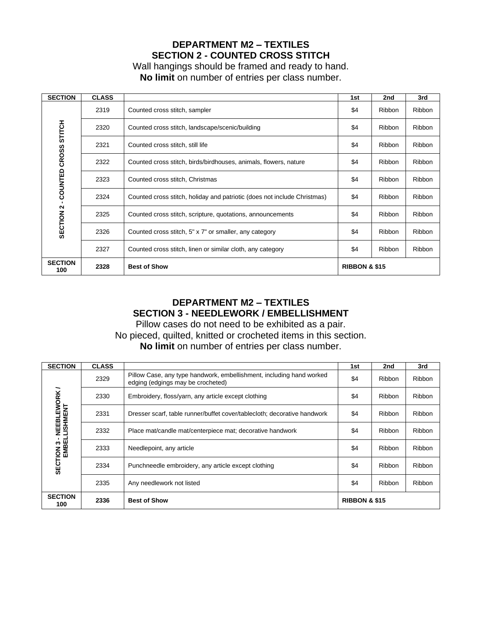### **DEPARTMENT M2 – TEXTILES SECTION 2 - COUNTED CROSS STITCH**

Wall hangings should be framed and ready to hand. **No limit** on number of entries per class number.

| <b>SECTION</b>        | <b>CLASS</b> |                                                                          | 1st | 2nd                      | 3rd           |  |  |
|-----------------------|--------------|--------------------------------------------------------------------------|-----|--------------------------|---------------|--|--|
|                       | 2319         | Counted cross stitch, sampler                                            | \$4 | <b>Ribbon</b>            | Ribbon        |  |  |
| <b>STITCH</b>         | 2320         | Counted cross stitch, landscape/scenic/building                          | \$4 | <b>Ribbon</b>            | Ribbon        |  |  |
|                       | 2321         | Counted cross stitch, still life                                         | \$4 | <b>Ribbon</b>            | Ribbon        |  |  |
| - COUNTED CROSS       | 2322         | Counted cross stitch, birds/birdhouses, animals, flowers, nature         | \$4 | <b>Ribbon</b>            | Ribbon        |  |  |
|                       | 2323         | Counted cross stitch, Christmas                                          | \$4 | <b>Ribbon</b>            | Ribbon        |  |  |
|                       | 2324         | Counted cross stitch, holiday and patriotic (does not include Christmas) | \$4 | <b>Ribbon</b>            | Ribbon        |  |  |
| SECTION <sub>2</sub>  | 2325         | Counted cross stitch, scripture, quotations, announcements               | \$4 | Ribbon                   | <b>Ribbon</b> |  |  |
|                       | 2326         | Counted cross stitch, 5" x 7" or smaller, any category                   | \$4 | <b>Ribbon</b>            | Ribbon        |  |  |
|                       | 2327         | Counted cross stitch, linen or similar cloth, any category               | \$4 | <b>Ribbon</b>            | Ribbon        |  |  |
| <b>SECTION</b><br>100 | 2328         | <b>Best of Show</b>                                                      |     | <b>RIBBON &amp; \$15</b> |               |  |  |

### **DEPARTMENT M2 – TEXTILES SECTION 3 - NEEDLEWORK / EMBELLISHMENT**

Pillow cases do not need to be exhibited as a pair. No pieced, quilted, knitted or crocheted items in this section. **No limit** on number of entries per class number.

| <b>SECTION</b>          | <b>CLASS</b> |                                                                                                           | 1st                      | 2nd           | 3rd           |
|-------------------------|--------------|-----------------------------------------------------------------------------------------------------------|--------------------------|---------------|---------------|
|                         | 2329         | Pillow Case, any type handwork, embellishment, including hand worked<br>edging (edgings may be crocheted) | \$4                      | <b>Ribbon</b> | <b>Ribbon</b> |
|                         | 2330         | Embroidery, floss/yarn, any article except clothing                                                       | \$4                      | Ribbon        | Ribbon        |
| EBLEWORK<br>LISHMENT    | 2331         | Dresser scarf, table runner/buffet cover/tablecloth; decorative handwork                                  | \$4                      | <b>Ribbon</b> | Ribbon        |
| Ψ                       | 2332         | Place mat/candle mat/centerpiece mat; decorative handwork                                                 | \$4                      | Ribbon        | <b>Ribbon</b> |
| SECTION 3 - N<br>EMBELL | 2333         | Needlepoint, any article                                                                                  | \$4                      | Ribbon        | <b>Ribbon</b> |
|                         | 2334         | Punchneedle embroidery, any article except clothing                                                       | \$4                      | Ribbon        | <b>Ribbon</b> |
|                         | 2335         | Any needlework not listed                                                                                 | \$4                      | Ribbon        | <b>Ribbon</b> |
| <b>SECTION</b><br>100   | 2336         | <b>Best of Show</b>                                                                                       | <b>RIBBON &amp; \$15</b> |               |               |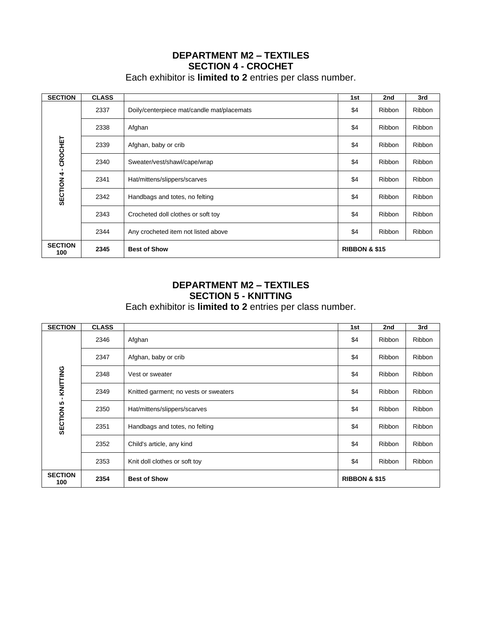### **DEPARTMENT M2 – TEXTILES SECTION 4 - CROCHET**

Each exhibitor is **limited to 2** entries per class number.

| <b>SECTION</b>        | <b>CLASS</b> |                                            | 1st                      | 2nd           | 3rd           |
|-----------------------|--------------|--------------------------------------------|--------------------------|---------------|---------------|
|                       | 2337         | Doily/centerpiece mat/candle mat/placemats | \$4                      | Ribbon        | Ribbon        |
|                       | 2338         | Afghan                                     | \$4                      | Ribbon        | Ribbon        |
| CROCHET               | 2339         | Afghan, baby or crib                       | \$4                      | Ribbon        | Ribbon        |
|                       | 2340         | Sweater/vest/shawl/cape/wrap               | \$4                      | Ribbon        | Ribbon        |
|                       | 2341         | Hat/mittens/slippers/scarves               | \$4                      | <b>Ribbon</b> | Ribbon        |
| SECTION 4             | 2342         | Handbags and totes, no felting             | \$4                      | Ribbon        | Ribbon        |
|                       | 2343         | Crocheted doll clothes or soft toy         | \$4                      | Ribbon        | Ribbon        |
|                       | 2344         | Any crocheted item not listed above        | \$4                      | Ribbon        | <b>Ribbon</b> |
| <b>SECTION</b><br>100 | 2345         | <b>Best of Show</b>                        | <b>RIBBON &amp; \$15</b> |               |               |

### **DEPARTMENT M2 – TEXTILES SECTION 5 - KNITTING**

Each exhibitor is **limited to 2** entries per class number.

| <b>SECTION</b>        | <b>CLASS</b> |                                       | 1st                      | 2nd           | 3rd    |
|-----------------------|--------------|---------------------------------------|--------------------------|---------------|--------|
|                       | 2346         | Afghan                                | \$4                      | <b>Ribbon</b> | Ribbon |
|                       | 2347         | Afghan, baby or crib                  | \$4                      | Ribbon        | Ribbon |
| KNITTING              | 2348         | Vest or sweater                       | \$4                      | Ribbon        | Ribbon |
| $\blacksquare$        | 2349         | Knitted garment; no vests or sweaters | \$4                      | <b>Ribbon</b> | Ribbon |
| SECTION 5             | 2350         | Hat/mittens/slippers/scarves          | \$4                      | <b>Ribbon</b> | Ribbon |
|                       | 2351         | Handbags and totes, no felting        | \$4                      | <b>Ribbon</b> | Ribbon |
|                       | 2352         | Child's article, any kind             | \$4                      | <b>Ribbon</b> | Ribbon |
|                       | 2353         | Knit doll clothes or soft toy         | \$4                      | <b>Ribbon</b> | Ribbon |
| <b>SECTION</b><br>100 | 2354         | <b>Best of Show</b>                   | <b>RIBBON &amp; \$15</b> |               |        |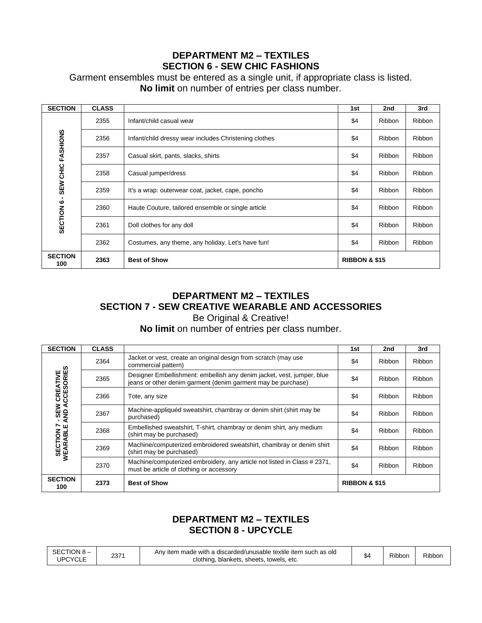### **DEPARTMENT M2 – TEXTILES SECTION 6 - SEW CHIC FASHIONS**

### Garment ensembles must be entered as a single unit, if appropriate class is listed. **No limit** on number of entries per class number.

| <b>SECTION</b>        | <b>CLASS</b> |                                                       | 1st                      | 2nd           | 3rd           |
|-----------------------|--------------|-------------------------------------------------------|--------------------------|---------------|---------------|
|                       | 2355         | Infant/child casual wear                              | \$4                      | <b>Ribbon</b> | Ribbon        |
|                       | 2356         | Infant/child dressy wear includes Christening clothes | \$4                      | <b>Ribbon</b> | Ribbon        |
| SEW CHIC FASHIONS     | 2357         | Casual skirt, pants, slacks, shirts                   | \$4                      | Ribbon        | Ribbon        |
|                       | 2358         | Casual jumper/dress                                   | \$4                      | <b>Ribbon</b> | Ribbon        |
|                       | 2359         | It's a wrap: outerwear coat, jacket, cape, poncho     | \$4                      | <b>Ribbon</b> | <b>Ribbon</b> |
|                       | 2360         | Haute Couture, tailored ensemble or single article    | \$4                      | Ribbon        | <b>Ribbon</b> |
| SECTION 6             | 2361         | Doll clothes for any doll                             | \$4                      | <b>Ribbon</b> | <b>Ribbon</b> |
|                       | 2362         | Costumes, any theme, any holiday. Let's have fun!     | \$4                      | <b>Ribbon</b> | Ribbon        |
| <b>SECTION</b><br>100 | 2363         | <b>Best of Show</b>                                   | <b>RIBBON &amp; \$15</b> |               |               |

#### **DEPARTMENT M2 – TEXTILES SECTION 7 - SEW CREATIVE WEARABLE AND ACCESSORIES** Be Original & Creative!

#### **No limit** on number of entries per class number.

| <b>SECTION</b>                   | <b>CLASS</b> |                                                                                                                                        | 1st                      | 2nd           | 3rd    |
|----------------------------------|--------------|----------------------------------------------------------------------------------------------------------------------------------------|--------------------------|---------------|--------|
|                                  | 2364         | Jacket or vest, create an original design from scratch (may use<br>commercial pattern)                                                 | \$4                      | Ribbon        | Ribbon |
| - SEW CREATIVE<br>AND ACCESORIES | 2365         | Designer Embellishment: embellish any denim jacket, vest, jumper, blue<br>jeans or other denim garment (denim garment may be purchase) | \$4                      | Ribbon        | Ribbon |
|                                  | 2366         | Tote, any size                                                                                                                         | \$4                      | Ribbon        | Ribbon |
|                                  | 2367         | Machine-appliquéd sweatshirt, chambray or denim shirt (shirt may be<br>purchased)                                                      | \$4                      | Ribbon        | Ribbon |
|                                  | 2368         | Embellished sweatshirt, T-shirt, chambray or denim shirt, any medium<br>(shirt may be purchased)                                       | \$4                      | Ribbon        | Ribbon |
| SECTION 7<br>WEARABLE            | 2369         | Machine/computerized embroidered sweatshirt, chambray or denim shirt<br>(shirt may be purchased)                                       | \$4                      | <b>Ribbon</b> | Ribbon |
|                                  | 2370         | Machine/computerized embroidery, any article not listed in Class # 2371,<br>must be article of clothing or accessory                   | \$4                      | Ribbon        | Ribbon |
| <b>SECTION</b><br>100            | 2373         | <b>Best of Show</b>                                                                                                                    | <b>RIBBON &amp; \$15</b> |               |        |

### **DEPARTMENT M2 – TEXTILES SECTION 8 - UPCYCLE**

| SECTION 8-<br><b>UPCYCLE</b> | 2371 | Any item made with a discarded/unusable textile item such as old<br>clothing, blankets, sheets, towels, etc. | $\ddot{\phantom{1}}$<br>54 | Ribbon | Ribbon |
|------------------------------|------|--------------------------------------------------------------------------------------------------------------|----------------------------|--------|--------|
|------------------------------|------|--------------------------------------------------------------------------------------------------------------|----------------------------|--------|--------|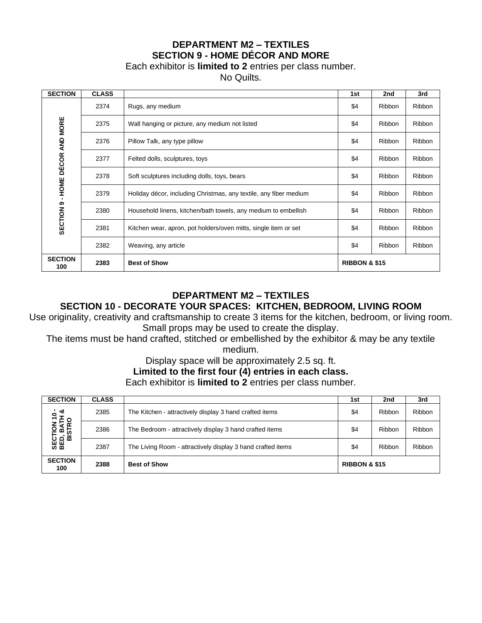### **DEPARTMENT M2 – TEXTILES SECTION 9 - HOME DÉCOR AND MORE**

Each exhibitor is **limited to 2** entries per class number.

No Quilts.

| <b>SECTION</b>        | <b>CLASS</b> |                                                                   | 1st | 2nd                      | 3rd           |  |  |
|-----------------------|--------------|-------------------------------------------------------------------|-----|--------------------------|---------------|--|--|
|                       | 2374         | Rugs, any medium                                                  | \$4 | <b>Ribbon</b>            | Ribbon        |  |  |
|                       | 2375         | Wall hanging or picture, any medium not listed                    | \$4 | Ribbon                   | Ribbon        |  |  |
| DÉCOR AND MORE        | 2376         | Pillow Talk, any type pillow                                      | \$4 | Ribbon                   | Ribbon        |  |  |
|                       | 2377         | Felted dolls, sculptures, toys                                    | \$4 | <b>Ribbon</b>            | Ribbon        |  |  |
|                       | 2378         | Soft sculptures including dolls, toys, bears                      | \$4 | Ribbon                   | <b>Ribbon</b> |  |  |
| - HOME                | 2379         | Holiday décor, including Christmas, any textile, any fiber medium | \$4 | Ribbon                   | Ribbon        |  |  |
| SECTION <sub>9</sub>  | 2380         | Household linens, kitchen/bath towels, any medium to embellish    | \$4 | Ribbon                   | Ribbon        |  |  |
|                       | 2381         | Kitchen wear, apron, pot holders/oven mitts, single item or set   | \$4 | Ribbon                   | <b>Ribbon</b> |  |  |
|                       | 2382         | Weaving, any article                                              | \$4 | Ribbon                   | <b>Ribbon</b> |  |  |
| <b>SECTION</b><br>100 | 2383         | <b>Best of Show</b>                                               |     | <b>RIBBON &amp; \$15</b> |               |  |  |

### **DEPARTMENT M2 – TEXTILES**

### **SECTION 10 - DECORATE YOUR SPACES: KITCHEN, BEDROOM, LIVING ROOM**

Use originality, creativity and craftsmanship to create 3 items for the kitchen, bedroom, or living room. Small props may be used to create the display.

The items must be hand crafted, stitched or embellished by the exhibitor & may be any textile medium.

Display space will be approximately 2.5 sq. ft.

### **Limited to the first four (4) entries in each class.**

Each exhibitor is **limited to 2** entries per class number.

| <b>SECTION</b>                                               | <b>CLASS</b> |                                                             | 1st                      | 2nd    | 3rd    |
|--------------------------------------------------------------|--------------|-------------------------------------------------------------|--------------------------|--------|--------|
| ಂಶ<br><u>۽</u><br><b>SECTION 10<br/>BED, BATH<br/>BISTRO</b> | 2385         | The Kitchen - attractively display 3 hand crafted items     | \$4                      | Ribbon | Ribbon |
|                                                              | 2386         | The Bedroom - attractively display 3 hand crafted items     | \$4                      | Ribbon | Ribbon |
|                                                              | 2387         | The Living Room - attractively display 3 hand crafted items | \$4                      | Ribbon | Ribbon |
| <b>SECTION</b><br>100                                        | 2388         | <b>Best of Show</b>                                         | <b>RIBBON &amp; \$15</b> |        |        |